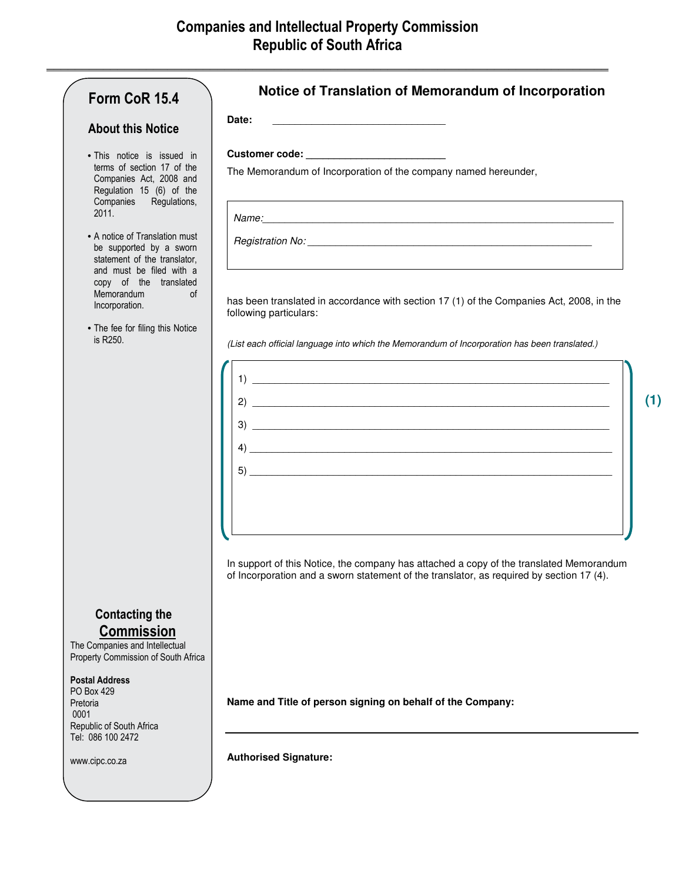|                                                                                                                                                                                                         | Date:                                                                                                                                                                               |
|---------------------------------------------------------------------------------------------------------------------------------------------------------------------------------------------------------|-------------------------------------------------------------------------------------------------------------------------------------------------------------------------------------|
| <b>About this Notice</b>                                                                                                                                                                                |                                                                                                                                                                                     |
| • This notice is issued in<br>terms of section 17 of the<br>Companies Act, 2008 and<br>Regulation 15 (6) of the<br>Companies Regulations,<br>2011.                                                      |                                                                                                                                                                                     |
|                                                                                                                                                                                                         | The Memorandum of Incorporation of the company named hereunder,                                                                                                                     |
|                                                                                                                                                                                                         |                                                                                                                                                                                     |
| • A notice of Translation must<br>be supported by a sworn<br>statement of the translator,<br>and must be filed with a<br>copy of the translated<br><b>Memorandum</b><br><sub>of</sub><br>Incorporation. |                                                                                                                                                                                     |
|                                                                                                                                                                                                         | has been translated in accordance with section 17 (1) of the Companies Act, 2008, in the<br>following particulars:                                                                  |
| • The fee for filing this Notice<br>is $R250$ .                                                                                                                                                         | (List each official language into which the Memorandum of Incorporation has been translated.)                                                                                       |
|                                                                                                                                                                                                         |                                                                                                                                                                                     |
|                                                                                                                                                                                                         |                                                                                                                                                                                     |
|                                                                                                                                                                                                         |                                                                                                                                                                                     |
|                                                                                                                                                                                                         |                                                                                                                                                                                     |
|                                                                                                                                                                                                         |                                                                                                                                                                                     |
|                                                                                                                                                                                                         |                                                                                                                                                                                     |
|                                                                                                                                                                                                         |                                                                                                                                                                                     |
|                                                                                                                                                                                                         |                                                                                                                                                                                     |
|                                                                                                                                                                                                         | In support of this Notice, the company has attached a copy of the translated Memorandum<br>of Incorporation and a sworn statement of the translator, as required by section 17 (4). |
| <b>Contacting the</b>                                                                                                                                                                                   |                                                                                                                                                                                     |
| <b>Commission</b><br>The Companies and Intellectual<br>Property Commission of South Africa                                                                                                              |                                                                                                                                                                                     |
| <b>Postal Address</b><br>PO Box 429                                                                                                                                                                     |                                                                                                                                                                                     |
| Pretoria<br>0001                                                                                                                                                                                        | Name and Title of person signing on behalf of the Company:                                                                                                                          |
| Republic of South Africa<br>Tel: 086 100 2472                                                                                                                                                           |                                                                                                                                                                                     |
| www.cipc.co.za                                                                                                                                                                                          | <b>Authorised Signature:</b>                                                                                                                                                        |

**(1)**